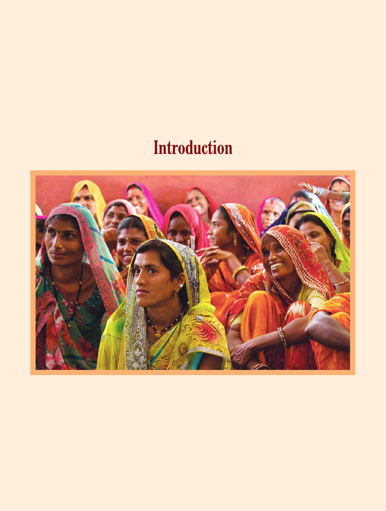# **Introduction**

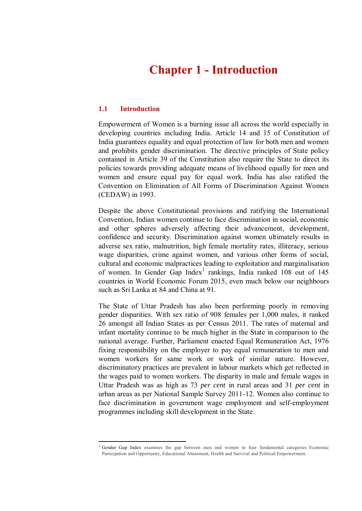# **Chapter 1 - Introduction**

# **1.1 Introduction**

1

Empowerment of Women is a burning issue all across the world especially in developing countries including India. Article 14 and 15 of Constitution of India guarantees equality and equal protection of law for both men and women and prohibits gender discrimination. The directive principles of State policy contained in Article 39 of the Constitution also require the State to direct its policies towards providing adequate means of livelihood equally for men and women and ensure equal pay for equal work. India has also ratified the Convention on Elimination of All Forms of Discrimination Against Women (CEDAW) in 1993.

Despite the above Constitutional provisions and ratifying the International Convention, Indian women continue to face discrimination in social, economic and other spheres adversely affecting their advancement, development, confidence and security. Discrimination against women ultimately results in adverse sex ratio, malnutrition, high female mortality rates, illiteracy, serious wage disparities, crime against women, and various other forms of social, cultural and economic malpractices leading to exploitation and marginalisation of women. In Gender Gap Index<sup>1</sup> rankings, India ranked 108 out of 145 countries in World Economic Forum 2015, even much below our neighbours such as Sri Lanka at 84 and China at 91.

The State of Uttar Pradesh has also been performing poorly in removing gender disparities. With sex ratio of 908 females per 1,000 males, it ranked 26 amongst all Indian States as per Census 2011. The rates of maternal and infant mortality continue to be much higher in the State in comparison to the national average. Further, Parliament enacted Equal Remuneration Act, 1976 fixing responsibility on the employer to pay equal remuneration to men and women workers for same work or work of similar nature. However, discriminatory practices are prevalent in labour markets which get reflected in the wages paid to women workers. The disparity in male and female wages in Uttar Pradesh was as high as 73 *per cent* in rural areas and 31 *per cent* in urban areas as per National Sample Survey 2011-12. Women also continue to face discrimination in government wage employment and self-employment programmes including skill development in the State.

<sup>1</sup> Gender Gap Index examines the gap between men and women in four fundamental categories: Economic Participation and Opportunity, Educational Attainment, Health and Survival and Political Empowerment.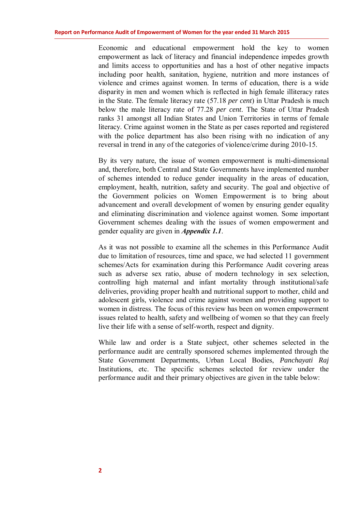Economic and educational empowerment hold the key to women empowerment as lack of literacy and financial independence impedes growth and limits access to opportunities and has a host of other negative impacts including poor health, sanitation, hygiene, nutrition and more instances of violence and crimes against women. In terms of education, there is a wide disparity in men and women which is reflected in high female illiteracy rates in the State. The female literacy rate (57.18 *per cent*) in Uttar Pradesh is much below the male literacy rate of 77.28 *per cent*. The State of Uttar Pradesh ranks 31 amongst all Indian States and Union Territories in terms of female literacy. Crime against women in the State as per cases reported and registered with the police department has also been rising with no indication of any reversal in trend in any of the categories of violence/crime during 2010-15.

By its very nature, the issue of women empowerment is multi-dimensional and, therefore, both Central and State Governments have implemented number of schemes intended to reduce gender inequality in the areas of education, employment, health, nutrition, safety and security. The goal and objective of the Government policies on Women Empowerment is to bring about advancement and overall development of women by ensuring gender equality and eliminating discrimination and violence against women. Some important Government schemes dealing with the issues of women empowerment and gender equality are given in *Appendix 1.1*.

As it was not possible to examine all the schemes in this Performance Audit due to limitation of resources, time and space, we had selected 11 government schemes/Acts for examination during this Performance Audit covering areas such as adverse sex ratio, abuse of modern technology in sex selection, controlling high maternal and infant mortality through institutional/safe deliveries, providing proper health and nutritional support to mother, child and adolescent girls, violence and crime against women and providing support to women in distress. The focus of this review has been on women empowerment issues related to health, safety and wellbeing of women so that they can freely live their life with a sense of self-worth, respect and dignity.

While law and order is a State subject, other schemes selected in the performance audit are centrally sponsored schemes implemented through the State Government Departments, Urban Local Bodies, *Panchayati Raj* Institutions, etc. The specific schemes selected for review under the performance audit and their primary objectives are given in the table below: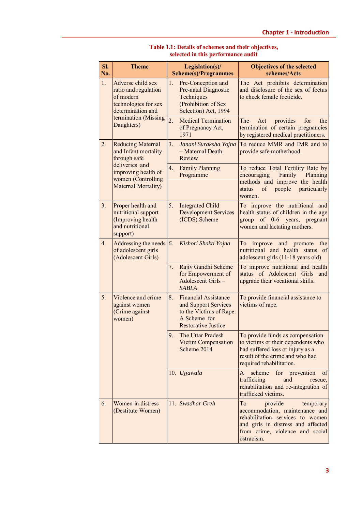|  | SI.<br>No. | <b>Theme</b>                                                                                                                                           | Legislation(s)/<br><b>Scheme(s)/Programmes</b>                                                                                     | <b>Objectives of the selected</b><br>schemes/Acts                                                                                                                                       |
|--|------------|--------------------------------------------------------------------------------------------------------------------------------------------------------|------------------------------------------------------------------------------------------------------------------------------------|-----------------------------------------------------------------------------------------------------------------------------------------------------------------------------------------|
|  | 1.         | Adverse child sex<br>ratio and regulation<br>of modern<br>technologies for sex<br>determination and<br>termination (Missing<br>Daughters)              | 1.<br>Pre-Conception and<br>Pre-natal Diagnostic<br>Techniques<br>(Prohibition of Sex<br>Selection) Act, 1994                      | The Act prohibits determination<br>and disclosure of the sex of foetus<br>to check female foeticide.                                                                                    |
|  |            |                                                                                                                                                        | 2.<br><b>Medical Termination</b><br>of Pregnancy Act,<br>1971                                                                      | provides<br>for<br>The<br>Act<br>the<br>termination of certain pregnancies<br>by registered medical practitioners.                                                                      |
|  | 2.         | <b>Reducing Maternal</b><br>and Infant mortality<br>through safe<br>deliveries and<br>improving health of<br>women (Controlling<br>Maternal Mortality) | 3.<br>Janani Suraksha Yojna<br>- Maternal Death<br>Review                                                                          | To reduce MMR and IMR and to<br>provide safe motherhood.                                                                                                                                |
|  |            |                                                                                                                                                        | 4.<br><b>Family Planning</b><br>Programme                                                                                          | To reduce Total Fertility Rate by<br>Family<br>Planning<br>encouraging<br>methods and improve the health<br>people<br>of<br>particularly<br>status<br>women.                            |
|  | 3.         | Proper health and<br>nutritional support<br>(Improving health<br>and nutritional<br>support)                                                           | 5.<br><b>Integrated Child</b><br><b>Development Services</b><br>(ICDS) Scheme                                                      | To improve the nutritional and<br>health status of children in the age<br>group of 0-6 years, pregnant<br>women and lactating mothers.                                                  |
|  | 4.         | Addressing the needs $\vert$ 6.<br>of adolescent girls<br>(Adolescent Girls)                                                                           | Kishori Shakti Yojna                                                                                                               | and promote<br>Тo<br>improve<br>the<br>nutritional and health status<br>of<br>adolescent girls (11-18 years old)                                                                        |
|  |            |                                                                                                                                                        | Rajiv Gandhi Scheme<br>7.<br>for Empowerment of<br>Adolescent Girls-<br><b>SABLA</b>                                               | To improve nutritional and health<br>status of Adolescent Girls and<br>upgrade their vocational skills.                                                                                 |
|  | 5.         | Violence and crime<br>against women<br>(Crime against<br>women)                                                                                        | 8.<br><b>Financial Assistance</b><br>and Support Services<br>to the Victims of Rape:<br>A Scheme for<br><b>Restorative Justice</b> | To provide financial assistance to<br>victims of rape.                                                                                                                                  |
|  |            |                                                                                                                                                        | 9.<br>The Uttar Pradesh<br><b>Victim Compensation</b><br>Scheme 2014                                                               | To provide funds as compensation<br>to victims or their dependents who<br>had suffered loss or injury as a<br>result of the crime and who had<br>required rehabilitation.               |
|  |            |                                                                                                                                                        | 10. Ujjawala                                                                                                                       | scheme<br>for prevention<br>of<br>A<br>trafficking<br>and<br>rescue,<br>rehabilitation and re-integration of<br>trafficked victims.                                                     |
|  | 6.         | Women in distress<br>(Destitute Women)                                                                                                                 | 11. Swadhar Greh                                                                                                                   | To<br>provide<br>temporary<br>accommodation, maintenance and<br>rehabilitation services to women<br>and girls in distress and affected<br>from crime, violence and social<br>ostracism. |

#### **Table 1.1: Details of schemes and their objectives, selected in this performance audit**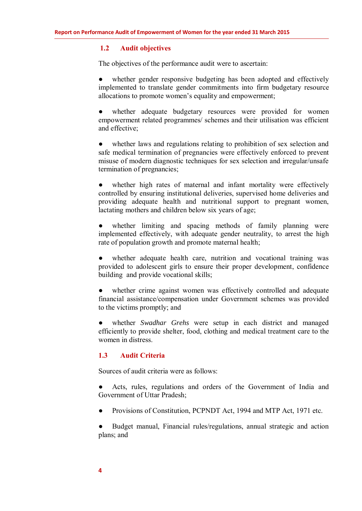### **1.2 Audit objectives**

The objectives of the performance audit were to ascertain:

whether gender responsive budgeting has been adopted and effectively implemented to translate gender commitments into firm budgetary resource allocations to promote women's equality and empowerment;

whether adequate budgetary resources were provided for women empowerment related programmes/ schemes and their utilisation was efficient and effective;

**●** whether laws and regulations relating to prohibition of sex selection and safe medical termination of pregnancies were effectively enforced to prevent misuse of modern diagnostic techniques for sex selection and irregular/unsafe termination of pregnancies;

**●** whether high rates of maternal and infant mortality were effectively controlled by ensuring institutional deliveries, supervised home deliveries and providing adequate health and nutritional support to pregnant women, lactating mothers and children below six years of age;

whether limiting and spacing methods of family planning were implemented effectively, with adequate gender neutrality, to arrest the high rate of population growth and promote maternal health;

whether adequate health care, nutrition and vocational training was provided to adolescent girls to ensure their proper development, confidence building and provide vocational skills;

**●** whether crime against women was effectively controlled and adequate financial assistance/compensation under Government schemes was provided to the victims promptly; and

whether *Swadhar Grehs* were setup in each district and managed efficiently to provide shelter, food, clothing and medical treatment care to the women in distress.

# **1.3 Audit Criteria**

Sources of audit criteria were as follows:

Acts, rules, regulations and orders of the Government of India and Government of Uttar Pradesh;

Provisions of Constitution, PCPNDT Act, 1994 and MTP Act, 1971 etc.

Budget manual, Financial rules/regulations, annual strategic and action plans; and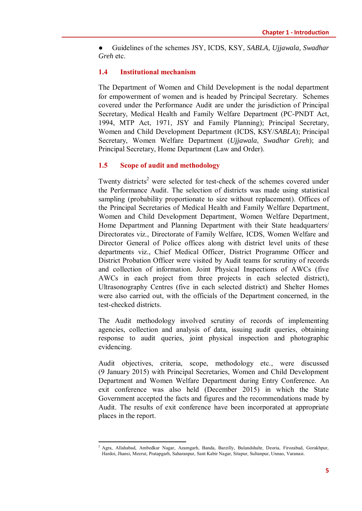**●** Guidelines of the schemes JSY, ICDS, KSY, *SABLA*, *Ujjawala, Swadhar Greh* etc.

# **1.4 Institutional mechanism**

The Department of Women and Child Development is the nodal department for empowerment of women and is headed by Principal Secretary. Schemes covered under the Performance Audit are under the jurisdiction of Principal Secretary, Medical Health and Family Welfare Department (PC-PNDT Act, 1994, MTP Act, 1971, JSY and Family Planning); Principal Secretary, Women and Child Development Department (ICDS, KSY/*SABLA*); Principal Secretary, Women Welfare Department (*Ujjawala*, *Swadhar Greh*); and Principal Secretary, Home Department (Law and Order).

# **1.5 Scope of audit and methodology**

Twenty districts<sup>2</sup> were selected for test-check of the schemes covered under the Performance Audit. The selection of districts was made using statistical sampling (probability proportionate to size without replacement). Offices of the Principal Secretaries of Medical Health and Family Welfare Department, Women and Child Development Department, Women Welfare Department, Home Department and Planning Department with their State headquarters/ Directorates viz., Directorate of Family Welfare, ICDS, Women Welfare and Director General of Police offices along with district level units of these departments viz., Chief Medical Officer, District Programme Officer and District Probation Officer were visited by Audit teams for scrutiny of records and collection of information. Joint Physical Inspections of AWCs (five AWCs in each project from three projects in each selected district), Ultrasonography Centres (five in each selected district) and Shelter Homes were also carried out, with the officials of the Department concerned, in the test-checked districts.

The Audit methodology involved scrutiny of records of implementing agencies, collection and analysis of data, issuing audit queries, obtaining response to audit queries, joint physical inspection and photographic evidencing.

Audit objectives, criteria, scope, methodology etc., were discussed (9 January 2015) with Principal Secretaries, Women and Child Development Department and Women Welfare Department during Entry Conference. An exit conference was also held (December 2015) in which the State Government accepted the facts and figures and the recommendations made by Audit. The results of exit conference have been incorporated at appropriate places in the report.

 2 Agra, Allahabad, Ambedkar Nagar, Azamgarh, Banda, Bareilly, Bulandshahr, Deoria, Firozabad, Gorakhpur, Hardoi, Jhansi, Meerut, Pratapgarh, Saharanpur, Sant Kabir Nagar, Sitapur, Sultanpur, Unnao, Varanasi.